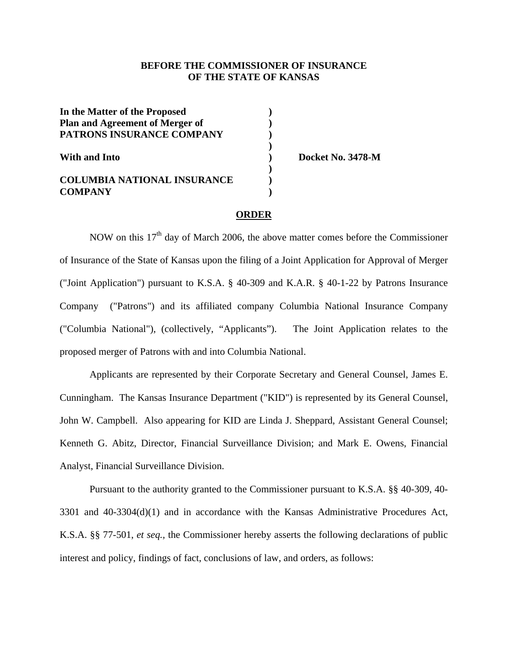## **BEFORE THE COMMISSIONER OF INSURANCE OF THE STATE OF KANSAS**

| In the Matter of the Proposed      |  |
|------------------------------------|--|
| Plan and Agreement of Merger of    |  |
| PATRONS INSURANCE COMPANY          |  |
|                                    |  |
| With and Into                      |  |
|                                    |  |
| <b>COLUMBIA NATIONAL INSURANCE</b> |  |
| <b>COMPANY</b>                     |  |

)<br>) Docket No. 3478-M<br>)

### **ORDER**

NOW on this  $17<sup>th</sup>$  day of March 2006, the above matter comes before the Commissioner of Insurance of the State of Kansas upon the filing of a Joint Application for Approval of Merger ("Joint Application") pursuant to K.S.A. § 40-309 and K.A.R. § 40-1-22 by Patrons Insurance Company ("Patrons") and its affiliated company Columbia National Insurance Company ("Columbia National"), (collectively, "Applicants"). The Joint Application relates to the proposed merger of Patrons with and into Columbia National.

 Applicants are represented by their Corporate Secretary and General Counsel, James E. Cunningham. The Kansas Insurance Department ("KID") is represented by its General Counsel, John W. Campbell. Also appearing for KID are Linda J. Sheppard, Assistant General Counsel; Kenneth G. Abitz, Director, Financial Surveillance Division; and Mark E. Owens, Financial Analyst, Financial Surveillance Division.

Pursuant to the authority granted to the Commissioner pursuant to K.S.A. §§ 40-309, 40- 3301 and 40-3304(d)(1) and in accordance with the Kansas Administrative Procedures Act, K.S.A. §§ 77-501, *et seq.,* the Commissioner hereby asserts the following declarations of public interest and policy, findings of fact, conclusions of law, and orders, as follows: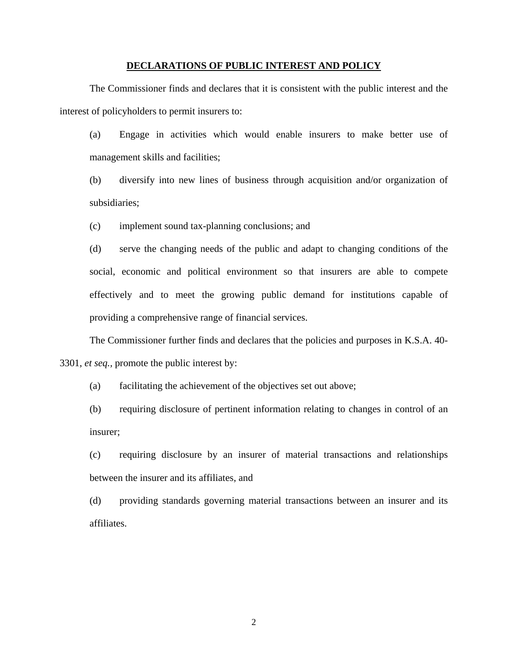### **DECLARATIONS OF PUBLIC INTEREST AND POLICY**

 The Commissioner finds and declares that it is consistent with the public interest and the interest of policyholders to permit insurers to:

 (a) Engage in activities which would enable insurers to make better use of management skills and facilities;

 (b) diversify into new lines of business through acquisition and/or organization of subsidiaries;

(c) implement sound tax-planning conclusions; and

 (d) serve the changing needs of the public and adapt to changing conditions of the social, economic and political environment so that insurers are able to compete effectively and to meet the growing public demand for institutions capable of providing a comprehensive range of financial services.

 The Commissioner further finds and declares that the policies and purposes in K.S.A. 40- 3301, *et seq.,* promote the public interest by:

(a) facilitating the achievement of the objectives set out above;

 (b) requiring disclosure of pertinent information relating to changes in control of an insurer;

 (c) requiring disclosure by an insurer of material transactions and relationships between the insurer and its affiliates, and

 (d) providing standards governing material transactions between an insurer and its affiliates.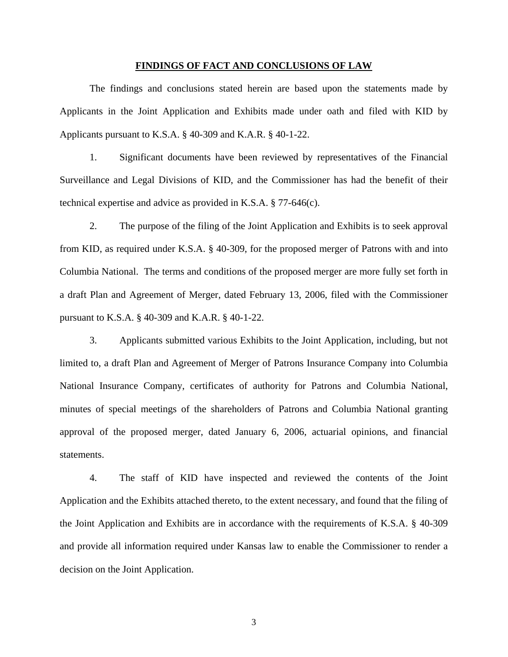#### **FINDINGS OF FACT AND CONCLUSIONS OF LAW**

 The findings and conclusions stated herein are based upon the statements made by Applicants in the Joint Application and Exhibits made under oath and filed with KID by Applicants pursuant to K.S.A. § 40-309 and K.A.R. § 40-1-22.

 1. Significant documents have been reviewed by representatives of the Financial Surveillance and Legal Divisions of KID, and the Commissioner has had the benefit of their technical expertise and advice as provided in K.S.A. § 77-646(c).

 2. The purpose of the filing of the Joint Application and Exhibits is to seek approval from KID, as required under K.S.A. § 40-309, for the proposed merger of Patrons with and into Columbia National. The terms and conditions of the proposed merger are more fully set forth in a draft Plan and Agreement of Merger, dated February 13, 2006, filed with the Commissioner pursuant to K.S.A. § 40-309 and K.A.R. § 40-1-22.

 3. Applicants submitted various Exhibits to the Joint Application, including, but not limited to, a draft Plan and Agreement of Merger of Patrons Insurance Company into Columbia National Insurance Company, certificates of authority for Patrons and Columbia National, minutes of special meetings of the shareholders of Patrons and Columbia National granting approval of the proposed merger, dated January 6, 2006, actuarial opinions, and financial statements.

 4. The staff of KID have inspected and reviewed the contents of the Joint Application and the Exhibits attached thereto, to the extent necessary, and found that the filing of the Joint Application and Exhibits are in accordance with the requirements of K.S.A. § 40-309 and provide all information required under Kansas law to enable the Commissioner to render a decision on the Joint Application.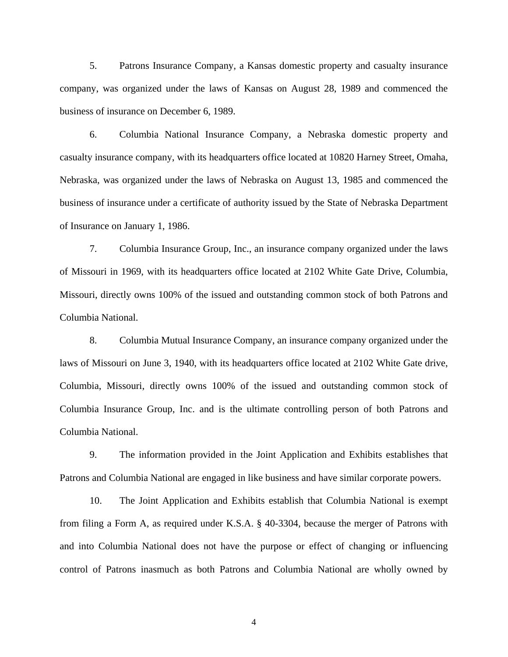5. Patrons Insurance Company, a Kansas domestic property and casualty insurance company, was organized under the laws of Kansas on August 28, 1989 and commenced the business of insurance on December 6, 1989.

 6. Columbia National Insurance Company, a Nebraska domestic property and casualty insurance company, with its headquarters office located at 10820 Harney Street, Omaha, Nebraska, was organized under the laws of Nebraska on August 13, 1985 and commenced the business of insurance under a certificate of authority issued by the State of Nebraska Department of Insurance on January 1, 1986.

 7. Columbia Insurance Group, Inc., an insurance company organized under the laws of Missouri in 1969, with its headquarters office located at 2102 White Gate Drive, Columbia, Missouri, directly owns 100% of the issued and outstanding common stock of both Patrons and Columbia National.

 8. Columbia Mutual Insurance Company, an insurance company organized under the laws of Missouri on June 3, 1940, with its headquarters office located at 2102 White Gate drive, Columbia, Missouri, directly owns 100% of the issued and outstanding common stock of Columbia Insurance Group, Inc. and is the ultimate controlling person of both Patrons and Columbia National.

 9. The information provided in the Joint Application and Exhibits establishes that Patrons and Columbia National are engaged in like business and have similar corporate powers.

 10. The Joint Application and Exhibits establish that Columbia National is exempt from filing a Form A, as required under K.S.A. § 40-3304, because the merger of Patrons with and into Columbia National does not have the purpose or effect of changing or influencing control of Patrons inasmuch as both Patrons and Columbia National are wholly owned by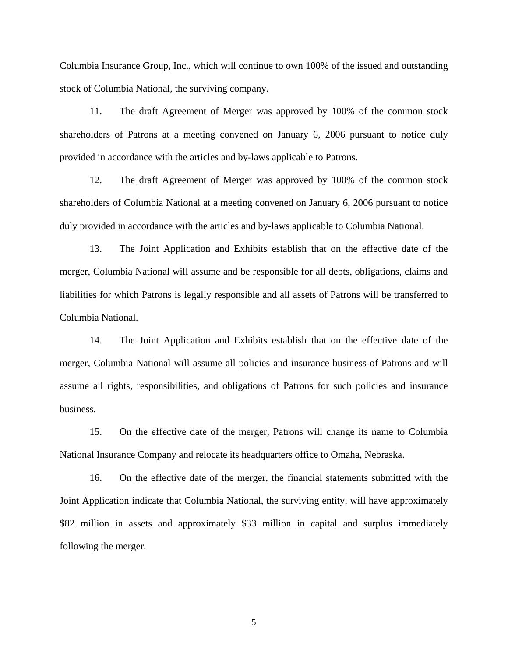Columbia Insurance Group, Inc., which will continue to own 100% of the issued and outstanding stock of Columbia National, the surviving company.

 11. The draft Agreement of Merger was approved by 100% of the common stock shareholders of Patrons at a meeting convened on January 6, 2006 pursuant to notice duly provided in accordance with the articles and by-laws applicable to Patrons.

 12. The draft Agreement of Merger was approved by 100% of the common stock shareholders of Columbia National at a meeting convened on January 6, 2006 pursuant to notice duly provided in accordance with the articles and by-laws applicable to Columbia National.

 13. The Joint Application and Exhibits establish that on the effective date of the merger, Columbia National will assume and be responsible for all debts, obligations, claims and liabilities for which Patrons is legally responsible and all assets of Patrons will be transferred to Columbia National.

 14. The Joint Application and Exhibits establish that on the effective date of the merger, Columbia National will assume all policies and insurance business of Patrons and will assume all rights, responsibilities, and obligations of Patrons for such policies and insurance business.

 15. On the effective date of the merger, Patrons will change its name to Columbia National Insurance Company and relocate its headquarters office to Omaha, Nebraska.

 16. On the effective date of the merger, the financial statements submitted with the Joint Application indicate that Columbia National, the surviving entity, will have approximately \$82 million in assets and approximately \$33 million in capital and surplus immediately following the merger.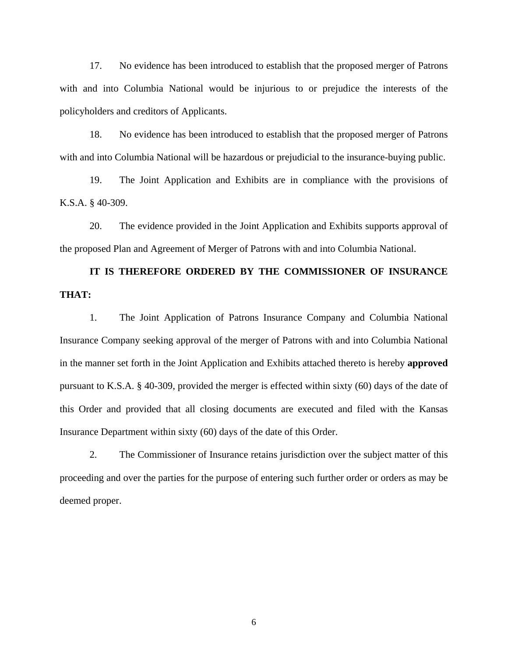17. No evidence has been introduced to establish that the proposed merger of Patrons with and into Columbia National would be injurious to or prejudice the interests of the policyholders and creditors of Applicants.

 18. No evidence has been introduced to establish that the proposed merger of Patrons with and into Columbia National will be hazardous or prejudicial to the insurance-buying public.

 19. The Joint Application and Exhibits are in compliance with the provisions of K.S.A. § 40-309.

 20. The evidence provided in the Joint Application and Exhibits supports approval of the proposed Plan and Agreement of Merger of Patrons with and into Columbia National.

**IT IS THEREFORE ORDERED BY THE COMMISSIONER OF INSURANCE THAT:** 

 1. The Joint Application of Patrons Insurance Company and Columbia National Insurance Company seeking approval of the merger of Patrons with and into Columbia National in the manner set forth in the Joint Application and Exhibits attached thereto is hereby **approved**  pursuant to K.S.A. § 40-309, provided the merger is effected within sixty (60) days of the date of this Order and provided that all closing documents are executed and filed with the Kansas Insurance Department within sixty (60) days of the date of this Order.

 2. The Commissioner of Insurance retains jurisdiction over the subject matter of this proceeding and over the parties for the purpose of entering such further order or orders as may be deemed proper.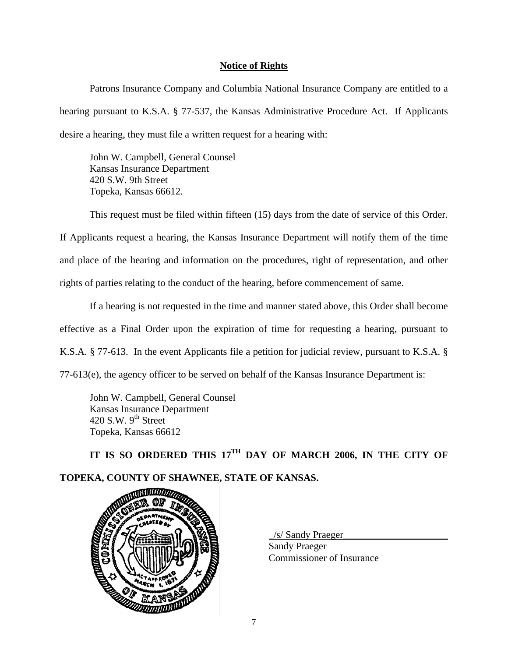## **Notice of Rights**

 Patrons Insurance Company and Columbia National Insurance Company are entitled to a hearing pursuant to K.S.A. § 77-537, the Kansas Administrative Procedure Act. If Applicants desire a hearing, they must file a written request for a hearing with:

John W. Campbell, General Counsel Kansas Insurance Department 420 S.W. 9th Street Topeka, Kansas 66612.

 This request must be filed within fifteen (15) days from the date of service of this Order. If Applicants request a hearing, the Kansas Insurance Department will notify them of the time and place of the hearing and information on the procedures, right of representation, and other rights of parties relating to the conduct of the hearing, before commencement of same.

 If a hearing is not requested in the time and manner stated above, this Order shall become effective as a Final Order upon the expiration of time for requesting a hearing, pursuant to K.S.A. § 77-613. In the event Applicants file a petition for judicial review, pursuant to K.S.A. § 77-613(e), the agency officer to be served on behalf of the Kansas Insurance Department is:

 John W. Campbell, General Counsel Kansas Insurance Department 420 S.W.  $9<sup>th</sup>$  Street Topeka, Kansas 66612

IT IS SO ORDERED THIS 17<sup>TH</sup> DAY OF MARCH 2006, IN THE CITY OF **TOPEKA, COUNTY OF SHAWNEE, STATE OF KANSAS.** 



\_/s/ Sandy Praeger\_\_\_\_\_\_\_\_\_\_\_\_\_\_\_\_\_\_\_\_\_

 Sandy Praeger Commissioner of Insurance